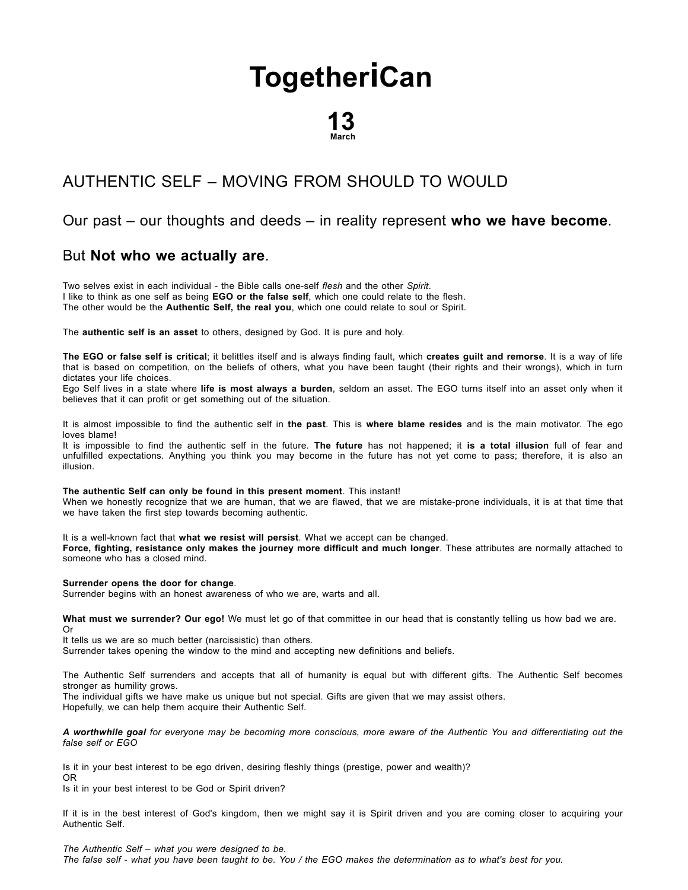# **[Together](http://togetherican.com/)iCan**

## 13 March

## [AUTHENTIC](file:///E:/GilbertStudios/clients/michaelMcCright/togetherican.com/wwwroot/events-180313-Authentic-self.html) SELF – MOVING FROM SHOULD TO WOULD

#### Our past – our thoughts and deeds – in reality represent who we have become.

#### But Not who we actually are.

Two selves exist in each individual - the Bible calls one-self flesh and the other Spirit. I like to think as one self as being EGO or the false self, which one could relate to the flesh. The other would be the Authentic Self, the real you, which one could relate to soul or Spirit.

The authentic self is an asset to others, designed by God. It is pure and holy.

The EGO or false self is critical; it belittles itself and is always finding fault, which creates guilt and remorse. It is a way of life that is based on competition, on the beliefs of others, what you have been taught (their rights and their wrongs), which in turn dictates your life choices.

Ego Self lives in a state where life is most always a burden, seldom an asset. The EGO turns itself into an asset only when it believes that it can profit or get something out of the situation.

It is almost impossible to find the authentic self in the past. This is where blame resides and is the main motivator. The ego loves blame!

It is impossible to find the authentic self in the future. The future has not happened; it is a total illusion full of fear and unfulfilled expectations. Anything you think you may become in the future has not yet come to pass; therefore, it is also an illusion.

#### The authentic Self can only be found in this present moment. This instant!

When we honestly recognize that we are human, that we are flawed, that we are mistake-prone individuals, it is at that time that we have taken the first step towards becoming authentic.

It is a well-known fact that what we resist will persist. What we accept can be changed.

Force, fighting, resistance only makes the journey more difficult and much longer. These attributes are normally attached to someone who has a closed mind.

#### Surrender opens the door for change.

Surrender begins with an honest awareness of who we are, warts and all.

What must we surrender? Our ego! We must let go of that committee in our head that is constantly telling us how bad we are. Or

It tells us we are so much better (narcissistic) than others. Surrender takes opening the window to the mind and accepting new definitions and beliefs.

The Authentic Self surrenders and accepts that all of humanity is equal but with different gifts. The Authentic Self becomes stronger as humility grows.

The individual gifts we have make us unique but not special. Gifts are given that we may assist others.

Hopefully, we can help them acquire their Authentic Self.

A worthwhile goal for everyone may be becoming more conscious, more aware of the Authentic You and differentiating out the false self or EGO

Is it in your best interest to be ego driven, desiring fleshly things (prestige, power and wealth)? OR

Is it in your best interest to be God or Spirit driven?

If it is in the best interest of God's kingdom, then we might say it is Spirit driven and you are coming closer to acquiring your Authentic Self.

The Authentic Self – what you were designed to be. The false self - what you have been taught to be. You / the EGO makes the determination as to what's best for you.